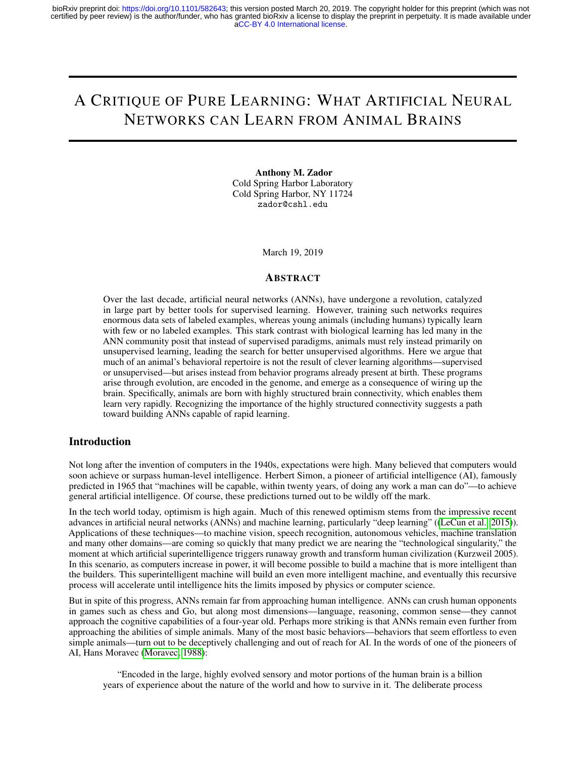# A CRITIQUE OF PURE LEARNING: WHAT ARTIFICIAL NEURAL NETWORKS CAN LEARN FROM ANIMAL BRAINS

Anthony M. Zador Cold Spring Harbor Laboratory Cold Spring Harbor, NY 11724 zador@cshl.edu

March 19, 2019

#### **ABSTRACT**

Over the last decade, artificial neural networks (ANNs), have undergone a revolution, catalyzed in large part by better tools for supervised learning. However, training such networks requires enormous data sets of labeled examples, whereas young animals (including humans) typically learn with few or no labeled examples. This stark contrast with biological learning has led many in the ANN community posit that instead of supervised paradigms, animals must rely instead primarily on unsupervised learning, leading the search for better unsupervised algorithms. Here we argue that much of an animal's behavioral repertoire is not the result of clever learning algorithms—supervised or unsupervised—but arises instead from behavior programs already present at birth. These programs arise through evolution, are encoded in the genome, and emerge as a consequence of wiring up the brain. Specifically, animals are born with highly structured brain connectivity, which enables them learn very rapidly. Recognizing the importance of the highly structured connectivity suggests a path toward building ANNs capable of rapid learning.

#### Introduction

Not long after the invention of computers in the 1940s, expectations were high. Many believed that computers would soon achieve or surpass human-level intelligence. Herbert Simon, a pioneer of artificial intelligence (AI), famously predicted in 1965 that "machines will be capable, within twenty years, of doing any work a man can do"—to achieve general artificial intelligence. Of course, these predictions turned out to be wildly off the mark.

In the tech world today, optimism is high again. Much of this renewed optimism stems from the impressive recent advances in artificial neural networks (ANNs) and machine learning, particularly "deep learning" ([\(LeCun et al., 2015\)](#page-8-0)). Applications of these techniques—to machine vision, speech recognition, autonomous vehicles, machine translation and many other domains—are coming so quickly that many predict we are nearing the "technological singularity," the moment at which artificial superintelligence triggers runaway growth and transform human civilization (Kurzweil 2005). In this scenario, as computers increase in power, it will become possible to build a machine that is more intelligent than the builders. This superintelligent machine will build an even more intelligent machine, and eventually this recursive process will accelerate until intelligence hits the limits imposed by physics or computer science.

But in spite of this progress, ANNs remain far from approaching human intelligence. ANNs can crush human opponents in games such as chess and Go, but along most dimensions—language, reasoning, common sense—they cannot approach the cognitive capabilities of a four-year old. Perhaps more striking is that ANNs remain even further from approaching the abilities of simple animals. Many of the most basic behaviors—behaviors that seem effortless to even simple animals—turn out to be deceptively challenging and out of reach for AI. In the words of one of the pioneers of AI, Hans Moravec [\(Moravec, 1988\)](#page-8-1):

"Encoded in the large, highly evolved sensory and motor portions of the human brain is a billion years of experience about the nature of the world and how to survive in it. The deliberate process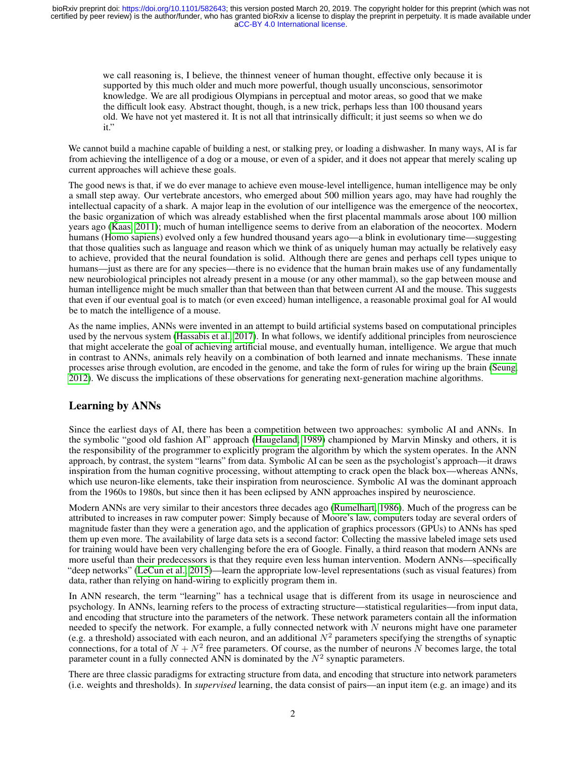we call reasoning is, I believe, the thinnest veneer of human thought, effective only because it is supported by this much older and much more powerful, though usually unconscious, sensorimotor knowledge. We are all prodigious Olympians in perceptual and motor areas, so good that we make the difficult look easy. Abstract thought, though, is a new trick, perhaps less than 100 thousand years old. We have not yet mastered it. It is not all that intrinsically difficult; it just seems so when we do it."

We cannot build a machine capable of building a nest, or stalking prey, or loading a dishwasher. In many ways, AI is far from achieving the intelligence of a dog or a mouse, or even of a spider, and it does not appear that merely scaling up current approaches will achieve these goals.

The good news is that, if we do ever manage to achieve even mouse-level intelligence, human intelligence may be only a small step away. Our vertebrate ancestors, who emerged about 500 million years ago, may have had roughly the intellectual capacity of a shark. A major leap in the evolution of our intelligence was the emergence of the neocortex, the basic organization of which was already established when the first placental mammals arose about 100 million years ago [\(Kaas, 2011\)](#page-8-2); much of human intelligence seems to derive from an elaboration of the neocortex. Modern humans (Homo sapiens) evolved only a few hundred thousand years ago—a blink in evolutionary time—suggesting that those qualities such as language and reason which we think of as uniquely human may actually be relatively easy to achieve, provided that the neural foundation is solid. Although there are genes and perhaps cell types unique to humans—just as there are for any species—there is no evidence that the human brain makes use of any fundamentally new neurobiological principles not already present in a mouse (or any other mammal), so the gap between mouse and human intelligence might be much smaller than that between than that between current AI and the mouse. This suggests that even if our eventual goal is to match (or even exceed) human intelligence, a reasonable proximal goal for AI would be to match the intelligence of a mouse.

As the name implies, ANNs were invented in an attempt to build artificial systems based on computational principles used by the nervous system [\(Hassabis et al., 2017\)](#page-8-3). In what follows, we identify additional principles from neuroscience that might accelerate the goal of achieving artificial mouse, and eventually human, intelligence. We argue that much in contrast to ANNs, animals rely heavily on a combination of both learned and innate mechanisms. These innate processes arise through evolution, are encoded in the genome, and take the form of rules for wiring up the brain [\(Seung,](#page-9-0) [2012\)](#page-9-0). We discuss the implications of these observations for generating next-generation machine algorithms.

# Learning by ANNs

Since the earliest days of AI, there has been a competition between two approaches: symbolic AI and ANNs. In the symbolic "good old fashion AI" approach [\(Haugeland, 1989\)](#page-8-4) championed by Marvin Minsky and others, it is the responsibility of the programmer to explicitly program the algorithm by which the system operates. In the ANN approach, by contrast, the system "learns" from data. Symbolic AI can be seen as the psychologist's approach—it draws inspiration from the human cognitive processing, without attempting to crack open the black box—whereas ANNs, which use neuron-like elements, take their inspiration from neuroscience. Symbolic AI was the dominant approach from the 1960s to 1980s, but since then it has been eclipsed by ANN approaches inspired by neuroscience.

Modern ANNs are very similar to their ancestors three decades ago [\(Rumelhart, 1986\)](#page-9-1). Much of the progress can be attributed to increases in raw computer power: Simply because of Moore's law, computers today are several orders of magnitude faster than they were a generation ago, and the application of graphics processors (GPUs) to ANNs has sped them up even more. The availability of large data sets is a second factor: Collecting the massive labeled image sets used for training would have been very challenging before the era of Google. Finally, a third reason that modern ANNs are more useful than their predecessors is that they require even less human intervention. Modern ANNs—specifically "deep networks" [\(LeCun et al., 2015\)](#page-8-0)—learn the appropriate low-level representations (such as visual features) from data, rather than relying on hand-wiring to explicitly program them in.

In ANN research, the term "learning" has a technical usage that is different from its usage in neuroscience and psychology. In ANNs, learning refers to the process of extracting structure—statistical regularities—from input data, and encoding that structure into the parameters of the network. These network parameters contain all the information needed to specify the network. For example, a fully connected network with  $N$  neurons might have one parameter (e.g. a threshold) associated with each neuron, and an additional  $N^2$  parameters specifying the strengths of synaptic connections, for a total of  $N + N^2$  free parameters. Of course, as the number of neurons N becomes large, the total parameter count in a fully connected ANN is dominated by the  $N^2$  synaptic parameters.

There are three classic paradigms for extracting structure from data, and encoding that structure into network parameters (i.e. weights and thresholds). In *supervised* learning, the data consist of pairs—an input item (e.g. an image) and its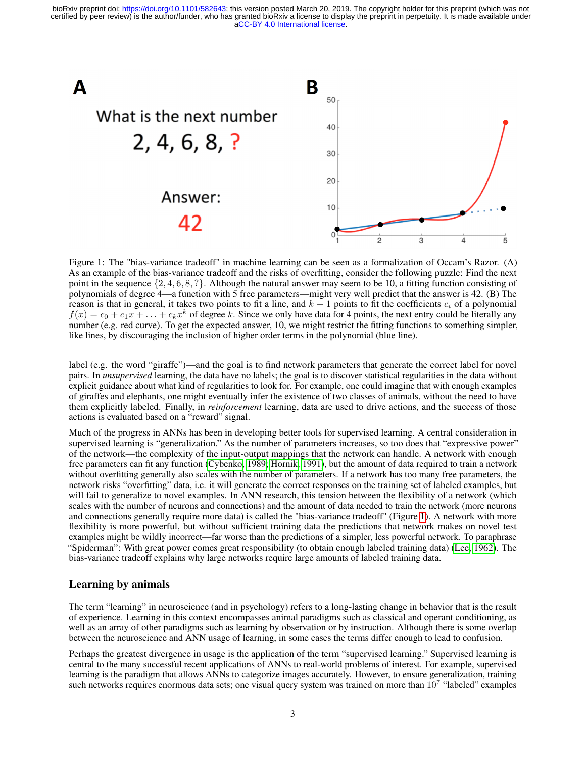

<span id="page-2-0"></span>Figure 1: The "bias-variance tradeoff" in machine learning can be seen as a formalization of Occam's Razor. (A) As an example of the bias-variance tradeoff and the risks of overfitting, consider the following puzzle: Find the next point in the sequence  $\{2, 4, 6, 8, ?\}$ . Although the natural answer may seem to be 10, a fitting function consisting of polynomials of degree 4—a function with 5 free parameters—might very well predict that the answer is 42. (B) The reason is that in general, it takes two points to fit a line, and  $k + 1$  points to fit the coefficients  $c_i$  of a polynomial  $f(x) = c_0 + c_1x + \ldots + c_kx^k$  of degree k. Since we only have data for 4 points, the next entry could be literally any number (e.g. red curve). To get the expected answer, 10, we might restrict the fitting functions to something simpler, like lines, by discouraging the inclusion of higher order terms in the polynomial (blue line).

label (e.g. the word "giraffe")—and the goal is to find network parameters that generate the correct label for novel pairs. In *unsupervised* learning, the data have no labels; the goal is to discover statistical regularities in the data without explicit guidance about what kind of regularities to look for. For example, one could imagine that with enough examples of giraffes and elephants, one might eventually infer the existence of two classes of animals, without the need to have them explicitly labeled. Finally, in *reinforcement* learning, data are used to drive actions, and the success of those actions is evaluated based on a "reward" signal.

Much of the progress in ANNs has been in developing better tools for supervised learning. A central consideration in supervised learning is "generalization." As the number of parameters increases, so too does that "expressive power" of the network—the complexity of the input-output mappings that the network can handle. A network with enough free parameters can fit any function [\(Cybenko, 1989;](#page-8-5) [Hornik, 1991\)](#page-8-6), but the amount of data required to train a network without overfitting generally also scales with the number of parameters. If a network has too many free parameters, the network risks "overfitting" data, i.e. it will generate the correct responses on the training set of labeled examples, but will fail to generalize to novel examples. In ANN research, this tension between the flexibility of a network (which scales with the number of neurons and connections) and the amount of data needed to train the network (more neurons and connections generally require more data) is called the "bias-variance tradeoff" (Figure [1\)](#page-2-0). A network with more flexibility is more powerful, but without sufficient training data the predictions that network makes on novel test examples might be wildly incorrect—far worse than the predictions of a simpler, less powerful network. To paraphrase "Spiderman": With great power comes great responsibility (to obtain enough labeled training data) [\(Lee, 1962\)](#page-8-7). The bias-variance tradeoff explains why large networks require large amounts of labeled training data.

# Learning by animals

The term "learning" in neuroscience (and in psychology) refers to a long-lasting change in behavior that is the result of experience. Learning in this context encompasses animal paradigms such as classical and operant conditioning, as well as an array of other paradigms such as learning by observation or by instruction. Although there is some overlap between the neuroscience and ANN usage of learning, in some cases the terms differ enough to lead to confusion.

Perhaps the greatest divergence in usage is the application of the term "supervised learning." Supervised learning is central to the many successful recent applications of ANNs to real-world problems of interest. For example, supervised learning is the paradigm that allows ANNs to categorize images accurately. However, to ensure generalization, training such networks requires enormous data sets; one visual query system was trained on more than  $10^7$  "labeled" examples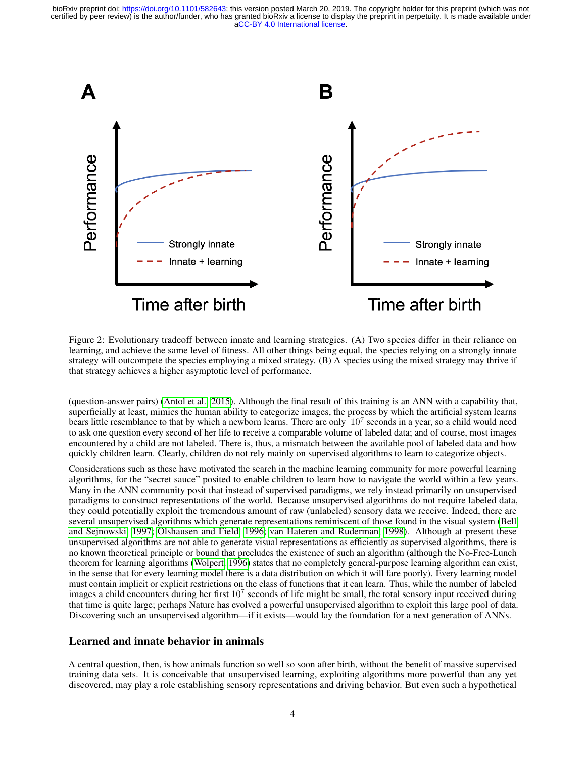

<span id="page-3-0"></span>Figure 2: Evolutionary tradeoff between innate and learning strategies. (A) Two species differ in their reliance on learning, and achieve the same level of fitness. All other things being equal, the species relying on a strongly innate strategy will outcompete the species employing a mixed strategy. (B) A species using the mixed strategy may thrive if that strategy achieves a higher asymptotic level of performance.

(question-answer pairs) [\(Antol et al., 2015\)](#page-7-0). Although the final result of this training is an ANN with a capability that, superficially at least, mimics the human ability to categorize images, the process by which the artificial system learns bears little resemblance to that by which a newborn learns. There are only  $10^7$  seconds in a year, so a child would need to ask one question every second of her life to receive a comparable volume of labeled data; and of course, most images encountered by a child are not labeled. There is, thus, a mismatch between the available pool of labeled data and how quickly children learn. Clearly, children do not rely mainly on supervised algorithms to learn to categorize objects.

Considerations such as these have motivated the search in the machine learning community for more powerful learning algorithms, for the "secret sauce" posited to enable children to learn how to navigate the world within a few years. Many in the ANN community posit that instead of supervised paradigms, we rely instead primarily on unsupervised paradigms to construct representations of the world. Because unsupervised algorithms do not require labeled data, they could potentially exploit the tremendous amount of raw (unlabeled) sensory data we receive. Indeed, there are several unsupervised algorithms which generate representations reminiscent of those found in the visual system [\(Bell](#page-7-1) [and Sejnowski, 1997;](#page-7-1) [Olshausen and Field, 1996;](#page-8-8) [van Hateren and Ruderman, 1998\)](#page-9-2). Although at present these unsupervised algorithms are not able to generate visual representations as efficiently as supervised algorithms, there is no known theoretical principle or bound that precludes the existence of such an algorithm (although the No-Free-Lunch theorem for learning algorithms [\(Wolpert, 1996\)](#page-9-3) states that no completely general-purpose learning algorithm can exist, in the sense that for every learning model there is a data distribution on which it will fare poorly). Every learning model must contain implicit or explicit restrictions on the class of functions that it can learn. Thus, while the number of labeled images a child encounters during her first  $10^7$  seconds of life might be small, the total sensory input received during that time is quite large; perhaps Nature has evolved a powerful unsupervised algorithm to exploit this large pool of data. Discovering such an unsupervised algorithm—if it exists—would lay the foundation for a next generation of ANNs.

# Learned and innate behavior in animals

A central question, then, is how animals function so well so soon after birth, without the benefit of massive supervised training data sets. It is conceivable that unsupervised learning, exploiting algorithms more powerful than any yet discovered, may play a role establishing sensory representations and driving behavior. But even such a hypothetical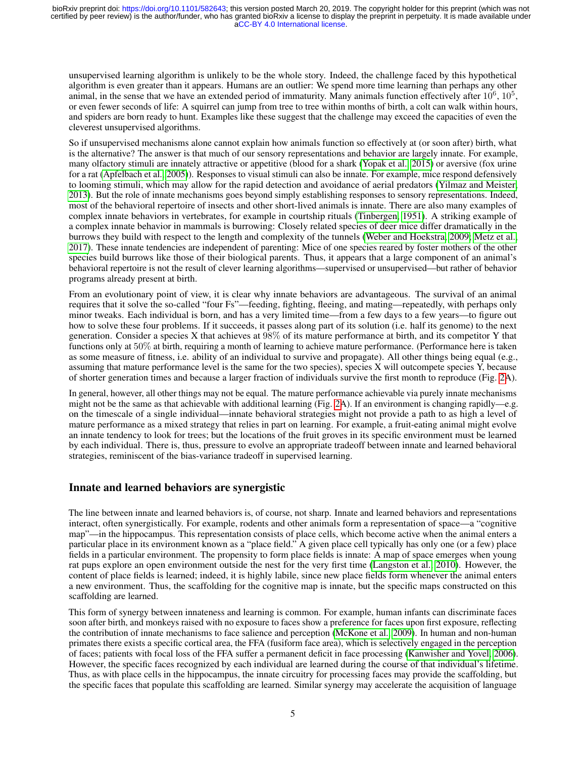unsupervised learning algorithm is unlikely to be the whole story. Indeed, the challenge faced by this hypothetical algorithm is even greater than it appears. Humans are an outlier: We spend more time learning than perhaps any other animal, in the sense that we have an extended period of immaturity. Many animals function effectively after  $10^6$ ,  $10^5$ , or even fewer seconds of life: A squirrel can jump from tree to tree within months of birth, a colt can walk within hours, and spiders are born ready to hunt. Examples like these suggest that the challenge may exceed the capacities of even the cleverest unsupervised algorithms.

So if unsupervised mechanisms alone cannot explain how animals function so effectively at (or soon after) birth, what is the alternative? The answer is that much of our sensory representations and behavior are largely innate. For example, many olfactory stimuli are innately attractive or appetitive (blood for a shark [\(Yopak et al., 2015\)](#page-9-4) or aversive (fox urine for a rat [\(Apfelbach et al., 2005\)](#page-7-2)). Responses to visual stimuli can also be innate. For example, mice respond defensively to looming stimuli, which may allow for the rapid detection and avoidance of aerial predators [\(Yilmaz and Meister,](#page-9-5) [2013\)](#page-9-5). But the role of innate mechanisms goes beyond simply establishing responses to sensory representations. Indeed, most of the behavioral repertoire of insects and other short-lived animals is innate. There are also many examples of complex innate behaviors in vertebrates, for example in courtship rituals [\(Tinbergen, 1951\)](#page-9-6). A striking example of a complex innate behavior in mammals is burrowing: Closely related species of deer mice differ dramatically in the burrows they build with respect to the length and complexity of the tunnels [\(Weber and Hoekstra, 2009;](#page-9-7) [Metz et al.,](#page-8-9) [2017\)](#page-8-9). These innate tendencies are independent of parenting: Mice of one species reared by foster mothers of the other species build burrows like those of their biological parents. Thus, it appears that a large component of an animal's behavioral repertoire is not the result of clever learning algorithms—supervised or unsupervised—but rather of behavior programs already present at birth.

From an evolutionary point of view, it is clear why innate behaviors are advantageous. The survival of an animal requires that it solve the so-called "four Fs"—feeding, fighting, fleeing, and mating—repeatedly, with perhaps only minor tweaks. Each individual is born, and has a very limited time—from a few days to a few years—to figure out how to solve these four problems. If it succeeds, it passes along part of its solution (i.e. half its genome) to the next generation. Consider a species X that achieves at 98% of its mature performance at birth, and its competitor Y that functions only at 50% at birth, requiring a month of learning to achieve mature performance. (Performance here is taken as some measure of fitness, i.e. ability of an individual to survive and propagate). All other things being equal (e.g., assuming that mature performance level is the same for the two species), species X will outcompete species Y, because of shorter generation times and because a larger fraction of individuals survive the first month to reproduce (Fig. [2A](#page-3-0)).

In general, however, all other things may not be equal. The mature performance achievable via purely innate mechanisms might not be the same as that achievable with additional learning (Fig. [2A](#page-3-0)). If an environment is changing rapidly—e.g. on the timescale of a single individual—innate behavioral strategies might not provide a path to as high a level of mature performance as a mixed strategy that relies in part on learning. For example, a fruit-eating animal might evolve an innate tendency to look for trees; but the locations of the fruit groves in its specific environment must be learned by each individual. There is, thus, pressure to evolve an appropriate tradeoff between innate and learned behavioral strategies, reminiscent of the bias-variance tradeoff in supervised learning.

# Innate and learned behaviors are synergistic

The line between innate and learned behaviors is, of course, not sharp. Innate and learned behaviors and representations interact, often synergistically. For example, rodents and other animals form a representation of space—a "cognitive map"—in the hippocampus. This representation consists of place cells, which become active when the animal enters a particular place in its environment known as a "place field." A given place cell typically has only one (or a few) place fields in a particular environment. The propensity to form place fields is innate: A map of space emerges when young rat pups explore an open environment outside the nest for the very first time [\(Langston et al., 2010\)](#page-8-10). However, the content of place fields is learned; indeed, it is highly labile, since new place fields form whenever the animal enters a new environment. Thus, the scaffolding for the cognitive map is innate, but the specific maps constructed on this scaffolding are learned.

This form of synergy between innateness and learning is common. For example, human infants can discriminate faces soon after birth, and monkeys raised with no exposure to faces show a preference for faces upon first exposure, reflecting the contribution of innate mechanisms to face salience and perception [\(McKone et al., 2009\)](#page-8-11). In human and non-human primates there exists a specific cortical area, the FFA (fusiform face area), which is selectively engaged in the perception of faces; patients with focal loss of the FFA suffer a permanent deficit in face processing [\(Kanwisher and Yovel, 2006\)](#page-8-12). However, the specific faces recognized by each individual are learned during the course of that individual's lifetime. Thus, as with place cells in the hippocampus, the innate circuitry for processing faces may provide the scaffolding, but the specific faces that populate this scaffolding are learned. Similar synergy may accelerate the acquisition of language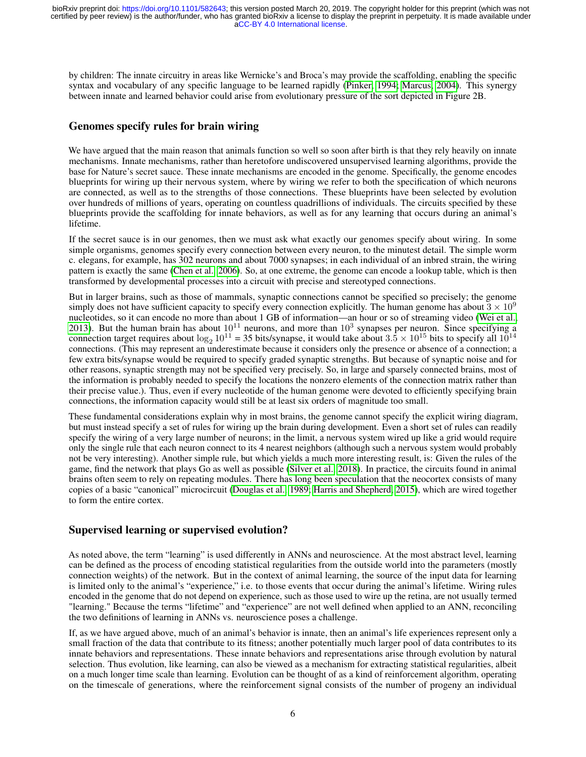by children: The innate circuitry in areas like Wernicke's and Broca's may provide the scaffolding, enabling the specific syntax and vocabulary of any specific language to be learned rapidly [\(Pinker, 1994;](#page-8-13) [Marcus, 2004\)](#page-8-14). This synergy between innate and learned behavior could arise from evolutionary pressure of the sort depicted in Figure 2B.

# Genomes specify rules for brain wiring

We have argued that the main reason that animals function so well so soon after birth is that they rely heavily on innate mechanisms. Innate mechanisms, rather than heretofore undiscovered unsupervised learning algorithms, provide the base for Nature's secret sauce. These innate mechanisms are encoded in the genome. Specifically, the genome encodes blueprints for wiring up their nervous system, where by wiring we refer to both the specification of which neurons are connected, as well as to the strengths of those connections. These blueprints have been selected by evolution over hundreds of millions of years, operating on countless quadrillions of individuals. The circuits specified by these blueprints provide the scaffolding for innate behaviors, as well as for any learning that occurs during an animal's lifetime.

If the secret sauce is in our genomes, then we must ask what exactly our genomes specify about wiring. In some simple organisms, genomes specify every connection between every neuron, to the minutest detail. The simple worm c. elegans, for example, has 302 neurons and about 7000 synapses; in each individual of an inbred strain, the wiring pattern is exactly the same [\(Chen et al., 2006\)](#page-8-15). So, at one extreme, the genome can encode a lookup table, which is then transformed by developmental processes into a circuit with precise and stereotyped connections.

But in larger brains, such as those of mammals, synaptic connections cannot be specified so precisely; the genome simply does not have sufficient capacity to specify every connection explicitly. The human genome has about  $3 \times 10^9$ nucleotides, so it can encode no more than about 1 GB of information—an hour or so of streaming video [\(Wei et al.,](#page-9-8) [2013\)](#page-9-8). But the human brain has about  $10^{11}$  neurons, and more than  $10^3$  synapses per neuron. Since specifying a connection target requires about  $\log_2 10^{11} = 35$  bits/synapse, it would take about  $3.\overline{5} \times 10^{15}$  bits to specify all  $10^{14}$ connections. (This may represent an underestimate because it considers only the presence or absence of a connection; a few extra bits/synapse would be required to specify graded synaptic strengths. But because of synaptic noise and for other reasons, synaptic strength may not be specified very precisely. So, in large and sparsely connected brains, most of the information is probably needed to specify the locations the nonzero elements of the connection matrix rather than their precise value.). Thus, even if every nucleotide of the human genome were devoted to efficiently specifying brain connections, the information capacity would still be at least six orders of magnitude too small.

These fundamental considerations explain why in most brains, the genome cannot specify the explicit wiring diagram, but must instead specify a set of rules for wiring up the brain during development. Even a short set of rules can readily specify the wiring of a very large number of neurons; in the limit, a nervous system wired up like a grid would require only the single rule that each neuron connect to its 4 nearest neighbors (although such a nervous system would probably not be very interesting). Another simple rule, but which yields a much more interesting result, is: Given the rules of the game, find the network that plays Go as well as possible [\(Silver et al., 2018\)](#page-9-9). In practice, the circuits found in animal brains often seem to rely on repeating modules. There has long been speculation that the neocortex consists of many copies of a basic "canonical" microcircuit [\(Douglas et al., 1989;](#page-8-16) [Harris and Shepherd, 2015\)](#page-8-17), which are wired together to form the entire cortex.

# Supervised learning or supervised evolution?

As noted above, the term "learning" is used differently in ANNs and neuroscience. At the most abstract level, learning can be defined as the process of encoding statistical regularities from the outside world into the parameters (mostly connection weights) of the network. But in the context of animal learning, the source of the input data for learning is limited only to the animal's "experience," i.e. to those events that occur during the animal's lifetime. Wiring rules encoded in the genome that do not depend on experience, such as those used to wire up the retina, are not usually termed "learning." Because the terms "lifetime" and "experience" are not well defined when applied to an ANN, reconciling the two definitions of learning in ANNs vs. neuroscience poses a challenge.

If, as we have argued above, much of an animal's behavior is innate, then an animal's life experiences represent only a small fraction of the data that contribute to its fitness; another potentially much larger pool of data contributes to its innate behaviors and representations. These innate behaviors and representations arise through evolution by natural selection. Thus evolution, like learning, can also be viewed as a mechanism for extracting statistical regularities, albeit on a much longer time scale than learning. Evolution can be thought of as a kind of reinforcement algorithm, operating on the timescale of generations, where the reinforcement signal consists of the number of progeny an individual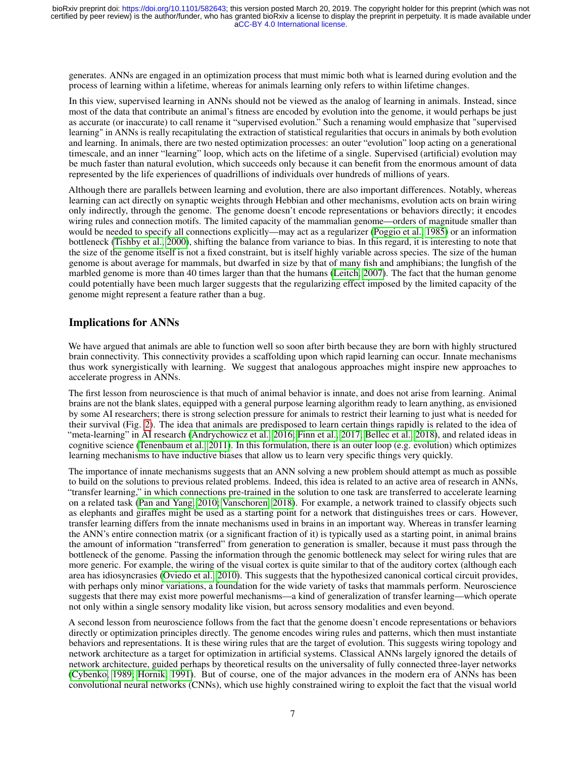generates. ANNs are engaged in an optimization process that must mimic both what is learned during evolution and the process of learning within a lifetime, whereas for animals learning only refers to within lifetime changes.

In this view, supervised learning in ANNs should not be viewed as the analog of learning in animals. Instead, since most of the data that contribute an animal's fitness are encoded by evolution into the genome, it would perhaps be just as accurate (or inaccurate) to call rename it "supervised evolution." Such a renaming would emphasize that "supervised learning" in ANNs is really recapitulating the extraction of statistical regularities that occurs in animals by both evolution and learning. In animals, there are two nested optimization processes: an outer "evolution" loop acting on a generational timescale, and an inner "learning" loop, which acts on the lifetime of a single. Supervised (artificial) evolution may be much faster than natural evolution, which succeeds only because it can benefit from the enormous amount of data represented by the life experiences of quadrillions of individuals over hundreds of millions of years.

Although there are parallels between learning and evolution, there are also important differences. Notably, whereas learning can act directly on synaptic weights through Hebbian and other mechanisms, evolution acts on brain wiring only indirectly, through the genome. The genome doesn't encode representations or behaviors directly; it encodes wiring rules and connection motifs. The limited capacity of the mammalian genome—orders of magnitude smaller than would be needed to specify all connections explicitly—may act as a regularizer [\(Poggio et al., 1985\)](#page-8-18) or an information bottleneck [\(Tishby et al., 2000\)](#page-9-10), shifting the balance from variance to bias. In this regard, it is interesting to note that the size of the genome itself is not a fixed constraint, but is itself highly variable across species. The size of the human genome is about average for mammals, but dwarfed in size by that of many fish and amphibians; the lungfish of the marbled genome is more than 40 times larger than that the humans [\(Leitch, 2007\)](#page-8-19). The fact that the human genome could potentially have been much larger suggests that the regularizing effect imposed by the limited capacity of the genome might represent a feature rather than a bug.

#### Implications for ANNs

We have argued that animals are able to function well so soon after birth because they are born with highly structured brain connectivity. This connectivity provides a scaffolding upon which rapid learning can occur. Innate mechanisms thus work synergistically with learning. We suggest that analogous approaches might inspire new approaches to accelerate progress in ANNs.

The first lesson from neuroscience is that much of animal behavior is innate, and does not arise from learning. Animal brains are not the blank slates, equipped with a general purpose learning algorithm ready to learn anything, as envisioned by some AI researchers; there is strong selection pressure for animals to restrict their learning to just what is needed for their survival (Fig. [2\)](#page-3-0). The idea that animals are predisposed to learn certain things rapidly is related to the idea of "meta-learning" in AI research [\(Andrychowicz et al., 2016;](#page-7-3) [Finn et al., 2017;](#page-8-20) [Bellec et al., 2018\)](#page-7-4), and related ideas in cognitive science [\(Tenenbaum et al., 2011\)](#page-9-11). In this formulation, there is an outer loop (e.g. evolution) which optimizes learning mechanisms to have inductive biases that allow us to learn very specific things very quickly.

The importance of innate mechanisms suggests that an ANN solving a new problem should attempt as much as possible to build on the solutions to previous related problems. Indeed, this idea is related to an active area of research in ANNs, "transfer learning," in which connections pre-trained in the solution to one task are transferred to accelerate learning on a related task [\(Pan and Yang, 2010;](#page-8-21) [Vanschoren, 2018\)](#page-9-12). For example, a network trained to classify objects such as elephants and giraffes might be used as a starting point for a network that distinguishes trees or cars. However, transfer learning differs from the innate mechanisms used in brains in an important way. Whereas in transfer learning the ANN's entire connection matrix (or a significant fraction of it) is typically used as a starting point, in animal brains the amount of information "transferred" from generation to generation is smaller, because it must pass through the bottleneck of the genome. Passing the information through the genomic bottleneck may select for wiring rules that are more generic. For example, the wiring of the visual cortex is quite similar to that of the auditory cortex (although each area has idiosyncrasies [\(Oviedo et al., 2010\)](#page-8-22). This suggests that the hypothesized canonical cortical circuit provides, with perhaps only minor variations, a foundation for the wide variety of tasks that mammals perform. Neuroscience suggests that there may exist more powerful mechanisms—a kind of generalization of transfer learning—which operate not only within a single sensory modality like vision, but across sensory modalities and even beyond.

A second lesson from neuroscience follows from the fact that the genome doesn't encode representations or behaviors directly or optimization principles directly. The genome encodes wiring rules and patterns, which then must instantiate behaviors and representations. It is these wiring rules that are the target of evolution. This suggests wiring topology and network architecture as a target for optimization in artificial systems. Classical ANNs largely ignored the details of network architecture, guided perhaps by theoretical results on the universality of fully connected three-layer networks [\(Cybenko, 1989;](#page-8-5) [Hornik, 1991\)](#page-8-6). But of course, one of the major advances in the modern era of ANNs has been convolutional neural networks (CNNs), which use highly constrained wiring to exploit the fact that the visual world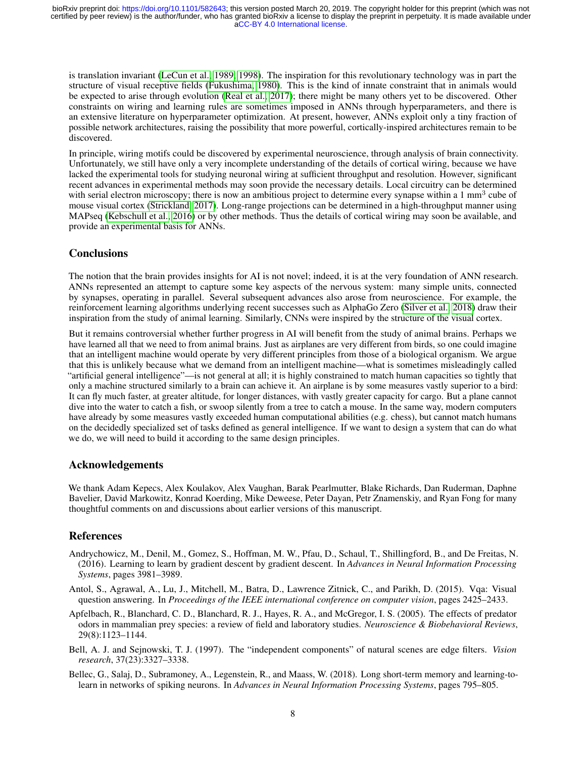is translation invariant [\(LeCun et al., 1989,](#page-8-23) [1998\)](#page-8-24). The inspiration for this revolutionary technology was in part the structure of visual receptive fields [\(Fukushima, 1980\)](#page-8-25). This is the kind of innate constraint that in animals would be expected to arise through evolution [\(Real et al., 2017\)](#page-8-26); there might be many others yet to be discovered. Other constraints on wiring and learning rules are sometimes imposed in ANNs through hyperparameters, and there is an extensive literature on hyperparameter optimization. At present, however, ANNs exploit only a tiny fraction of possible network architectures, raising the possibility that more powerful, cortically-inspired architectures remain to be discovered.

In principle, wiring motifs could be discovered by experimental neuroscience, through analysis of brain connectivity. Unfortunately, we still have only a very incomplete understanding of the details of cortical wiring, because we have lacked the experimental tools for studying neuronal wiring at sufficient throughput and resolution. However, significant recent advances in experimental methods may soon provide the necessary details. Local circuitry can be determined with serial electron microscopy; there is now an ambitious project to determine every synapse within a 1 mm<sup>3</sup> cube of mouse visual cortex [\(Strickland, 2017\)](#page-9-13). Long-range projections can be determined in a high-throughput manner using MAPseq [\(Kebschull et al., 2016\)](#page-8-27) or by other methods. Thus the details of cortical wiring may soon be available, and provide an experimental basis for ANNs.

#### **Conclusions**

The notion that the brain provides insights for AI is not novel; indeed, it is at the very foundation of ANN research. ANNs represented an attempt to capture some key aspects of the nervous system: many simple units, connected by synapses, operating in parallel. Several subsequent advances also arose from neuroscience. For example, the reinforcement learning algorithms underlying recent successes such as AlphaGo Zero [\(Silver et al., 2018\)](#page-9-9) draw their inspiration from the study of animal learning. Similarly, CNNs were inspired by the structure of the visual cortex.

But it remains controversial whether further progress in AI will benefit from the study of animal brains. Perhaps we have learned all that we need to from animal brains. Just as airplanes are very different from birds, so one could imagine that an intelligent machine would operate by very different principles from those of a biological organism. We argue that this is unlikely because what we demand from an intelligent machine—what is sometimes misleadingly called "artificial general intelligence"—is not general at all; it is highly constrained to match human capacities so tightly that only a machine structured similarly to a brain can achieve it. An airplane is by some measures vastly superior to a bird: It can fly much faster, at greater altitude, for longer distances, with vastly greater capacity for cargo. But a plane cannot dive into the water to catch a fish, or swoop silently from a tree to catch a mouse. In the same way, modern computers have already by some measures vastly exceeded human computational abilities (e.g. chess), but cannot match humans on the decidedly specialized set of tasks defined as general intelligence. If we want to design a system that can do what we do, we will need to build it according to the same design principles.

#### Acknowledgements

We thank Adam Kepecs, Alex Koulakov, Alex Vaughan, Barak Pearlmutter, Blake Richards, Dan Ruderman, Daphne Bavelier, David Markowitz, Konrad Koerding, Mike Deweese, Peter Dayan, Petr Znamenskiy, and Ryan Fong for many thoughtful comments on and discussions about earlier versions of this manuscript.

# References

- <span id="page-7-3"></span>Andrychowicz, M., Denil, M., Gomez, S., Hoffman, M. W., Pfau, D., Schaul, T., Shillingford, B., and De Freitas, N. (2016). Learning to learn by gradient descent by gradient descent. In *Advances in Neural Information Processing Systems*, pages 3981–3989.
- <span id="page-7-0"></span>Antol, S., Agrawal, A., Lu, J., Mitchell, M., Batra, D., Lawrence Zitnick, C., and Parikh, D. (2015). Vqa: Visual question answering. In *Proceedings of the IEEE international conference on computer vision*, pages 2425–2433.
- <span id="page-7-2"></span>Apfelbach, R., Blanchard, C. D., Blanchard, R. J., Hayes, R. A., and McGregor, I. S. (2005). The effects of predator odors in mammalian prey species: a review of field and laboratory studies. *Neuroscience & Biobehavioral Reviews*, 29(8):1123–1144.
- <span id="page-7-1"></span>Bell, A. J. and Sejnowski, T. J. (1997). The "independent components" of natural scenes are edge filters. *Vision research*, 37(23):3327–3338.
- <span id="page-7-4"></span>Bellec, G., Salaj, D., Subramoney, A., Legenstein, R., and Maass, W. (2018). Long short-term memory and learning-tolearn in networks of spiking neurons. In *Advances in Neural Information Processing Systems*, pages 795–805.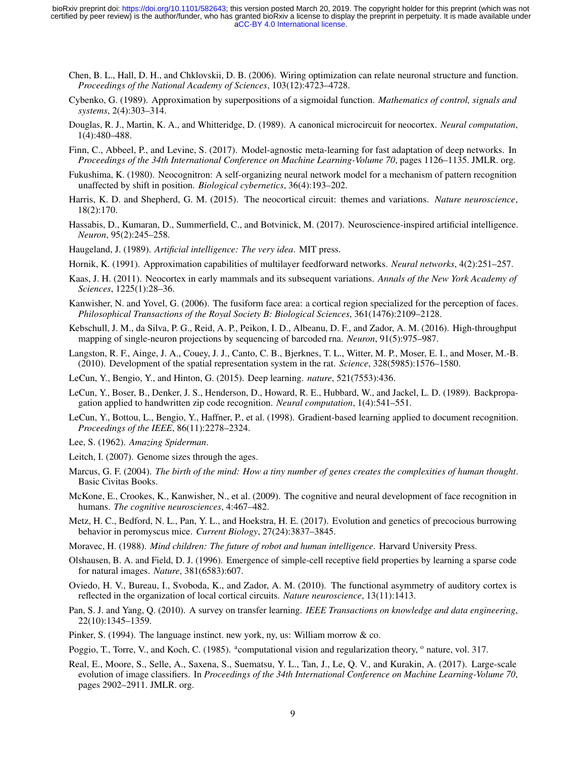- <span id="page-8-15"></span>Chen, B. L., Hall, D. H., and Chklovskii, D. B. (2006). Wiring optimization can relate neuronal structure and function. *Proceedings of the National Academy of Sciences*, 103(12):4723–4728.
- <span id="page-8-5"></span>Cybenko, G. (1989). Approximation by superpositions of a sigmoidal function. *Mathematics of control, signals and systems*, 2(4):303–314.
- <span id="page-8-16"></span>Douglas, R. J., Martin, K. A., and Whitteridge, D. (1989). A canonical microcircuit for neocortex. *Neural computation*, 1(4):480–488.
- <span id="page-8-20"></span>Finn, C., Abbeel, P., and Levine, S. (2017). Model-agnostic meta-learning for fast adaptation of deep networks. In *Proceedings of the 34th International Conference on Machine Learning-Volume 70*, pages 1126–1135. JMLR. org.
- <span id="page-8-25"></span>Fukushima, K. (1980). Neocognitron: A self-organizing neural network model for a mechanism of pattern recognition unaffected by shift in position. *Biological cybernetics*, 36(4):193–202.
- <span id="page-8-17"></span>Harris, K. D. and Shepherd, G. M. (2015). The neocortical circuit: themes and variations. *Nature neuroscience*, 18(2):170.
- <span id="page-8-3"></span>Hassabis, D., Kumaran, D., Summerfield, C., and Botvinick, M. (2017). Neuroscience-inspired artificial intelligence. *Neuron*, 95(2):245–258.
- <span id="page-8-4"></span>Haugeland, J. (1989). *Artificial intelligence: The very idea*. MIT press.
- <span id="page-8-6"></span>Hornik, K. (1991). Approximation capabilities of multilayer feedforward networks. *Neural networks*, 4(2):251–257.
- <span id="page-8-2"></span>Kaas, J. H. (2011). Neocortex in early mammals and its subsequent variations. *Annals of the New York Academy of Sciences*, 1225(1):28–36.
- <span id="page-8-12"></span>Kanwisher, N. and Yovel, G. (2006). The fusiform face area: a cortical region specialized for the perception of faces. *Philosophical Transactions of the Royal Society B: Biological Sciences*, 361(1476):2109–2128.
- <span id="page-8-27"></span>Kebschull, J. M., da Silva, P. G., Reid, A. P., Peikon, I. D., Albeanu, D. F., and Zador, A. M. (2016). High-throughput mapping of single-neuron projections by sequencing of barcoded rna. *Neuron*, 91(5):975–987.
- <span id="page-8-10"></span>Langston, R. F., Ainge, J. A., Couey, J. J., Canto, C. B., Bjerknes, T. L., Witter, M. P., Moser, E. I., and Moser, M.-B. (2010). Development of the spatial representation system in the rat. *Science*, 328(5985):1576–1580.
- <span id="page-8-0"></span>LeCun, Y., Bengio, Y., and Hinton, G. (2015). Deep learning. *nature*, 521(7553):436.
- <span id="page-8-23"></span>LeCun, Y., Boser, B., Denker, J. S., Henderson, D., Howard, R. E., Hubbard, W., and Jackel, L. D. (1989). Backpropagation applied to handwritten zip code recognition. *Neural computation*, 1(4):541–551.
- <span id="page-8-24"></span>LeCun, Y., Bottou, L., Bengio, Y., Haffner, P., et al. (1998). Gradient-based learning applied to document recognition. *Proceedings of the IEEE*, 86(11):2278–2324.
- <span id="page-8-7"></span>Lee, S. (1962). *Amazing Spiderman*.
- <span id="page-8-19"></span>Leitch, I. (2007). Genome sizes through the ages.
- <span id="page-8-14"></span>Marcus, G. F. (2004). *The birth of the mind: How a tiny number of genes creates the complexities of human thought*. Basic Civitas Books.
- <span id="page-8-11"></span>McKone, E., Crookes, K., Kanwisher, N., et al. (2009). The cognitive and neural development of face recognition in humans. *The cognitive neurosciences*, 4:467–482.
- <span id="page-8-9"></span>Metz, H. C., Bedford, N. L., Pan, Y. L., and Hoekstra, H. E. (2017). Evolution and genetics of precocious burrowing behavior in peromyscus mice. *Current Biology*, 27(24):3837–3845.
- <span id="page-8-1"></span>Moravec, H. (1988). *Mind children: The future of robot and human intelligence*. Harvard University Press.
- <span id="page-8-8"></span>Olshausen, B. A. and Field, D. J. (1996). Emergence of simple-cell receptive field properties by learning a sparse code for natural images. *Nature*, 381(6583):607.
- <span id="page-8-22"></span>Oviedo, H. V., Bureau, I., Svoboda, K., and Zador, A. M. (2010). The functional asymmetry of auditory cortex is reflected in the organization of local cortical circuits. *Nature neuroscience*, 13(11):1413.
- <span id="page-8-21"></span>Pan, S. J. and Yang, Q. (2010). A survey on transfer learning. *IEEE Transactions on knowledge and data engineering*, 22(10):1345–1359.
- <span id="page-8-13"></span>Pinker, S. (1994). The language instinct. new york, ny, us: William morrow & co.
- <span id="page-8-18"></span>Poggio, T., Torre, V., and Koch, C. (1985). <sup>a</sup>computational vision and regularization theory, <sup>o</sup> nature, vol. 317.
- <span id="page-8-26"></span>Real, E., Moore, S., Selle, A., Saxena, S., Suematsu, Y. L., Tan, J., Le, Q. V., and Kurakin, A. (2017). Large-scale evolution of image classifiers. In *Proceedings of the 34th International Conference on Machine Learning-Volume 70*, pages 2902–2911. JMLR. org.